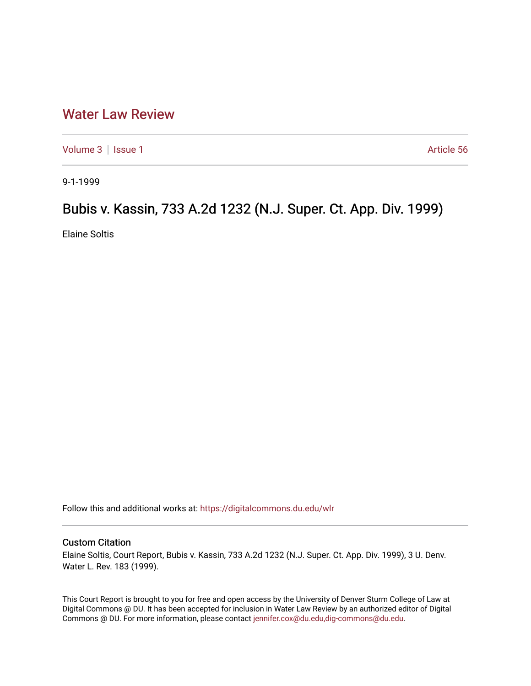# [Water Law Review](https://digitalcommons.du.edu/wlr)

[Volume 3](https://digitalcommons.du.edu/wlr/vol3) | [Issue 1](https://digitalcommons.du.edu/wlr/vol3/iss1) Article 56

9-1-1999

# Bubis v. Kassin, 733 A.2d 1232 (N.J. Super. Ct. App. Div. 1999)

Elaine Soltis

Follow this and additional works at: [https://digitalcommons.du.edu/wlr](https://digitalcommons.du.edu/wlr?utm_source=digitalcommons.du.edu%2Fwlr%2Fvol3%2Fiss1%2F56&utm_medium=PDF&utm_campaign=PDFCoverPages) 

## Custom Citation

Elaine Soltis, Court Report, Bubis v. Kassin, 733 A.2d 1232 (N.J. Super. Ct. App. Div. 1999), 3 U. Denv. Water L. Rev. 183 (1999).

This Court Report is brought to you for free and open access by the University of Denver Sturm College of Law at Digital Commons @ DU. It has been accepted for inclusion in Water Law Review by an authorized editor of Digital Commons @ DU. For more information, please contact [jennifer.cox@du.edu,dig-commons@du.edu.](mailto:jennifer.cox@du.edu,dig-commons@du.edu)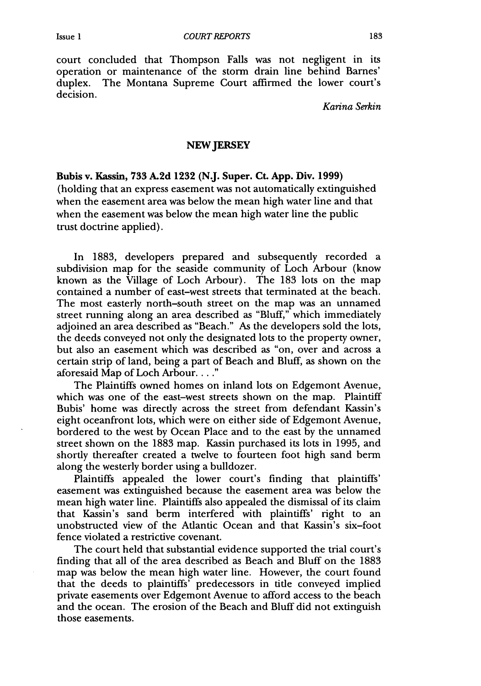court concluded that Thompson Falls was not negligent in its operation or maintenance of the storm drain line behind Barnes' duplex. The Montana Supreme Court affirmed the lower court's decision.

*Karina Serkin*

### **NEW JERSEY**

**Bubis v. Kassin, 733 A.2d 1232 (N.J. Super. Ct. App. Div. 1999)** (holding that an express easement was not automatically extinguished when the easement area was below the mean high water line and that when the easement was below the mean high water line the public trust doctrine applied).

In 1883, developers prepared and subsequently recorded a subdivision map for the seaside community of Loch Arbour (know known as the Village of Loch Arbour). The 183 lots on the map contained a number of east-west streets that terminated at the beach. The most easterly north-south street on the map was an unnamed street running along an area described as "Bluff," which immediately adjoined an area described as "Beach." As the developers sold the lots, the deeds conveyed not only the designated lots to the property owner, but also an easement which was described as "on, over and across a certain strip of land, being a part of Beach and Bluff, as shown on the aforesaid Map of Loch Arbour **......**

The Plaintiffs owned homes on inland lots on Edgemont Avenue, which was one of the east-west streets shown on the map. Plaintiff Bubis' home was directly across the street from defendant Kassin's eight oceanfront lots, which were on either side of Edgemont Avenue, bordered to the west by Ocean Place and to the east by the unnamed street shown on the 1883 map. Kassin purchased its lots in 1995, and shortly thereafter created a twelve to fourteen foot high sand berm along the westerly border using a bulldozer.

Plaintiffs appealed the lower court's finding that plaintiffs' easement was extinguished because the easement area was below the mean high water line. Plaintiffs also appealed the dismissal of its claim that Kassin's sand berm interfered with plaintiffs' right to an unobstructed view of the Atlantic Ocean and that Kassin's six-foot fence violated a restrictive covenant.

The court held that substantial evidence supported the trial court's finding that all of the area described as Beach and Bluff on the 1883 map was below the mean high water line. However, the court found that the deeds to plaintiffs' predecessors in title conveyed implied private easements over Edgemont Avenue to afford access to the beach and the ocean. The erosion of the Beach and Bluff did not extinguish those easements.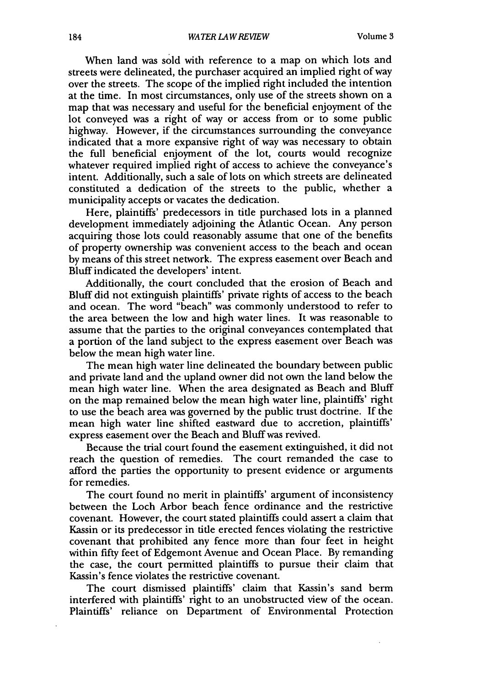When land was sold with reference to a map on which lots and streets were delineated, the purchaser acquired an implied right of way over the streets. The scope of the implied right included the intention at the time. In most circumstances, only use of the streets shown on a map that was necessary and useful for the beneficial enjoyment of the lot conveyed was a right of way or access from or to some public highway. However, if the circumstances surrounding the conveyance indicated that a more expansive right of way was necessary to obtain the full beneficial enjoyment of the lot, courts would recognize whatever required implied right of access to achieve the conveyance's intent. Additionally, such a sale of lots on which streets are delineated constituted a dedication of the streets to the public, whether a municipality accepts or vacates the dedication.

Here, plaintiffs' predecessors in title purchased lots in a planned development immediately adjoining the Atlantic Ocean. Any person acquiring those lots could reasonably assume that one of the benefits of property ownership was convenient access to the beach and ocean by means of this street network. The express easement over Beach and Bluff indicated the developers' intent.

Additionally, the court concluded that the erosion of Beach and Bluff did not extinguish plaintiffs' private rights of access to the beach and ocean. The word "beach" was commonly understood to refer to the area between the low and high water lines. It was reasonable to assume that the parties to the original conveyances contemplated that a portion of the land subject to the express easement over Beach was below the mean high water line.

The mean high water line delineated the boundary between public and private land and the upland owner did not own the land below the mean high water line. When the area designated as Beach and Bluff on the map remained below the mean high water line, plaintiffs' right to use the beach area was governed by the public trust doctrine. If the mean high water line shifted eastward due to accretion, plaintiffs' express easement over the Beach and Bluff was revived.

Because the trial court found the easement extinguished, it did not reach the question of remedies. The court remanded the case to afford the parties the opportunity to present evidence or arguments for remedies.

The court found no merit in plaintiffs' argument of inconsistency between the Loch Arbor beach fence ordinance and the restrictive covenant. However, the court stated plaintiffs could assert a claim that Kassin or its predecessor in title erected fences violating the restrictive covenant that prohibited any fence more than four feet in height within fifty feet of Edgemont Avenue and Ocean Place. By remanding the case, the court permitted plaintiffs to pursue their claim that Kassin's fence violates the restrictive covenant.

The court dismissed plaintiffs' claim that Kassin's sand berm interfered with plaintiffs' right to an unobstructed view of the ocean. Plaintiffs' reliance on Department of Environmental Protection